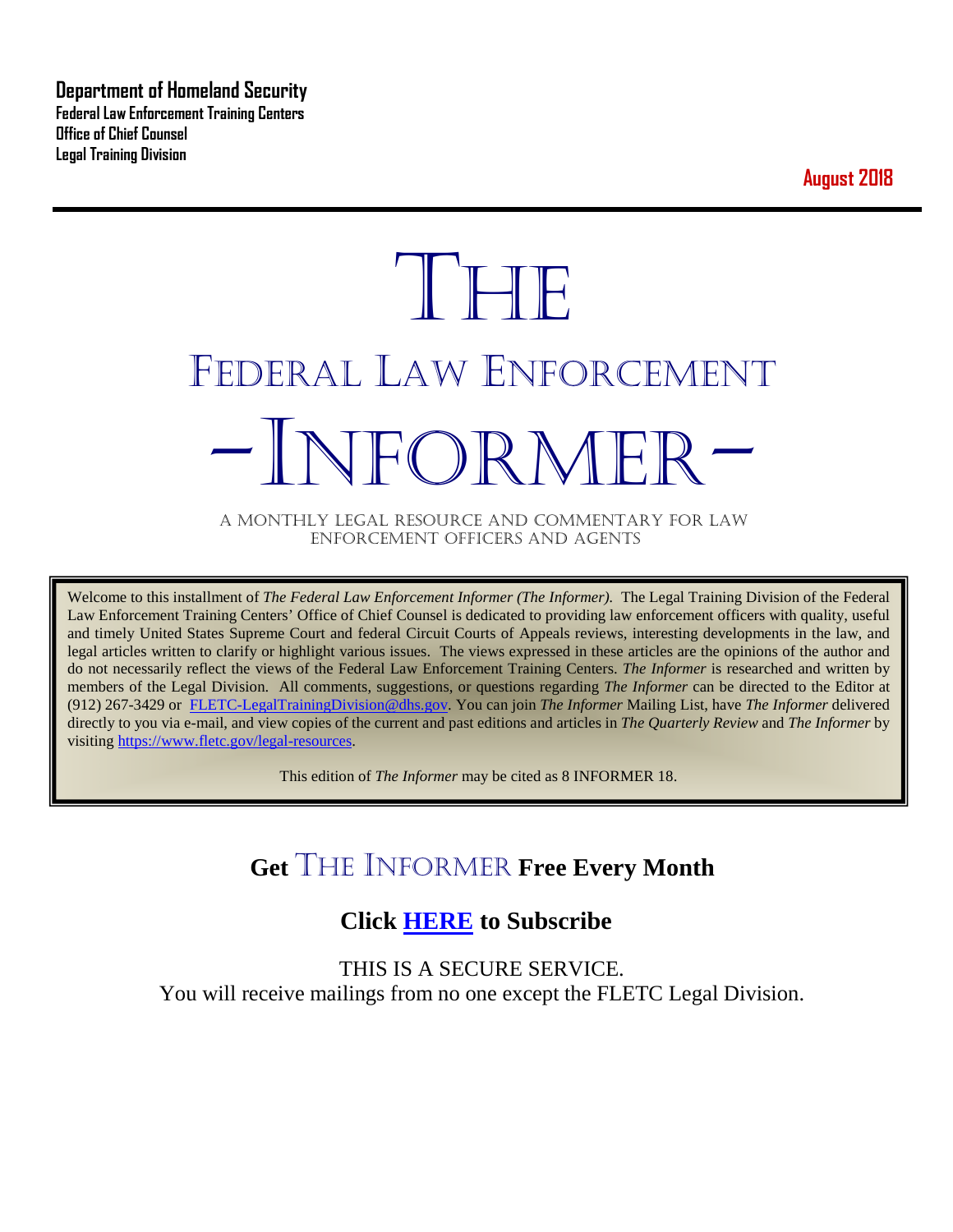**Department of Homeland Security Federal Law Enforcement Training Centers Office of Chief Counsel Legal Training Division** 

**August 2018**

# **THE** FEDERAL LAW ENFORCEMENT -INFORMER- A MONTHLY LEGAL RESOURCE AND COMMENTARY FOR LAW

ENFORCEMENT OFFICERS AND AGENTS

Welcome to this installment of *The Federal Law Enforcement Informer (The Informer).* The Legal Training Division of the Federal Law Enforcement Training Centers' Office of Chief Counsel is dedicated to providing law enforcement officers with quality, useful and timely United States Supreme Court and federal Circuit Courts of Appeals reviews, interesting developments in the law, and legal articles written to clarify or highlight various issues. The views expressed in these articles are the opinions of the author and do not necessarily reflect the views of the Federal Law Enforcement Training Centers. *The Informer* is researched and written by members of the Legal Division. All comments, suggestions, or questions regarding *The Informer* can be directed to the Editor at (912) 267-3429 or [FLETC-LegalTrainingDivision@dhs.gov.](mailto:FLETC-LegalTrainingDivision@dhs.gov) You can join *The Informer* Mailing List, have *The Informer* delivered directly to you via e-mail, and view copies of the current and past editions and articles in *The Quarterly Review* and *The Informer* by visiting [https://www.fletc.gov/legal-resources.](https://www.fletc.gov/legal-resources) 

This edition of *The Informer* may be cited as 8 INFORMER 18.

# **Get** THE INFORMER **Free Every Month**

# **Click [HERE](https://app.co-sender.com/opt-in/list/7b007eab-378b-4542-807f-44d6de94cb7e) to Subscribe**

THIS IS A SECURE SERVICE. You will receive mailings from no one except the FLETC Legal Division.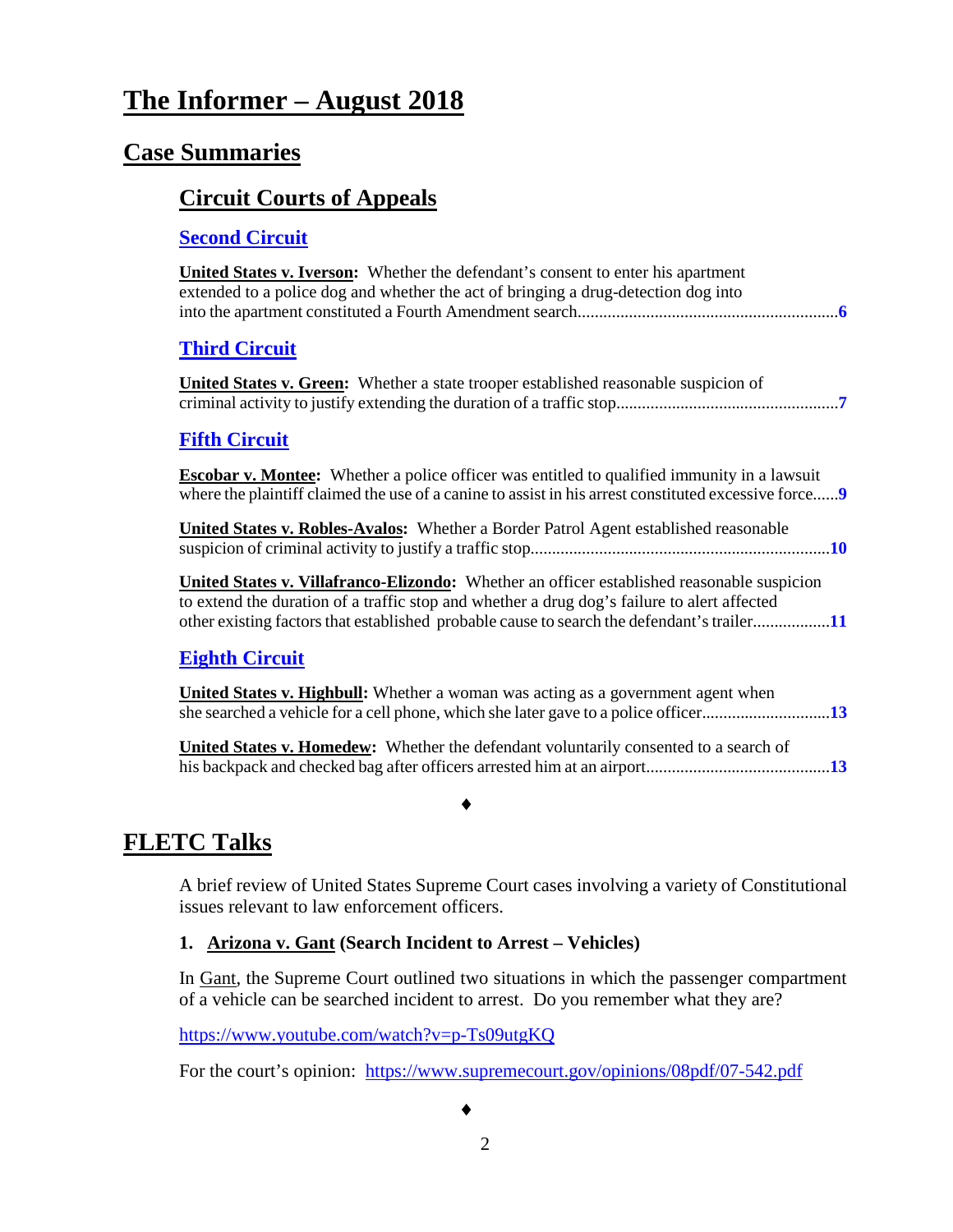# **The Informer – August 2018**

## **Case Summaries**

#### **[Circuit Courts of Appeals](#page-5-0)**

#### **[Second Circuit](#page-5-1)**

| <b>United States v. Iverson:</b> Whether the defendant's consent to enter his apartment<br>extended to a police dog and whether the act of bringing a drug-detection dog into                                                                                                                  |
|------------------------------------------------------------------------------------------------------------------------------------------------------------------------------------------------------------------------------------------------------------------------------------------------|
| <b>Third Circuit</b>                                                                                                                                                                                                                                                                           |
| <b>United States v. Green:</b> Whether a state trooper established reasonable suspicion of                                                                                                                                                                                                     |
| <b>Fifth Circuit</b>                                                                                                                                                                                                                                                                           |
| <b>Escobar v. Montee:</b> Whether a police officer was entitled to qualified immunity in a lawsuit<br>where the plaintiff claimed the use of a canine to assist in his arrest constituted excessive force9                                                                                     |
| <b>United States v. Robles-Avalos:</b> Whether a Border Patrol Agent established reasonable                                                                                                                                                                                                    |
| <b>United States v. Villafranco-Elizondo:</b> Whether an officer established reasonable suspicion<br>to extend the duration of a traffic stop and whether a drug dog's failure to alert affected<br>other existing factors that established probable cause to search the defendant's trailer11 |
| <b>Eighth Circuit</b>                                                                                                                                                                                                                                                                          |
| <b>United States v. Highbull:</b> Whether a woman was acting as a government agent when<br>she searched a vehicle for a cell phone, which she later gave to a police officer13                                                                                                                 |
| <b>United States v. Homedew:</b> Whether the defendant voluntarily consented to a search of                                                                                                                                                                                                    |

# **FLETC Talks**

A brief review of United States Supreme Court cases involving a variety of Constitutional issues relevant to law enforcement officers.

#### **1. Arizona v. Gant (Search Incident to Arrest – Vehicles)**

In Gant, the Supreme Court outlined two situations in which the passenger compartment of a vehicle can be searched incident to arrest. Do you remember what they are?

<https://www.youtube.com/watch?v=p-Ts09utgKQ>

For the court's opinion: <https://www.supremecourt.gov/opinions/08pdf/07-542.pdf>

♦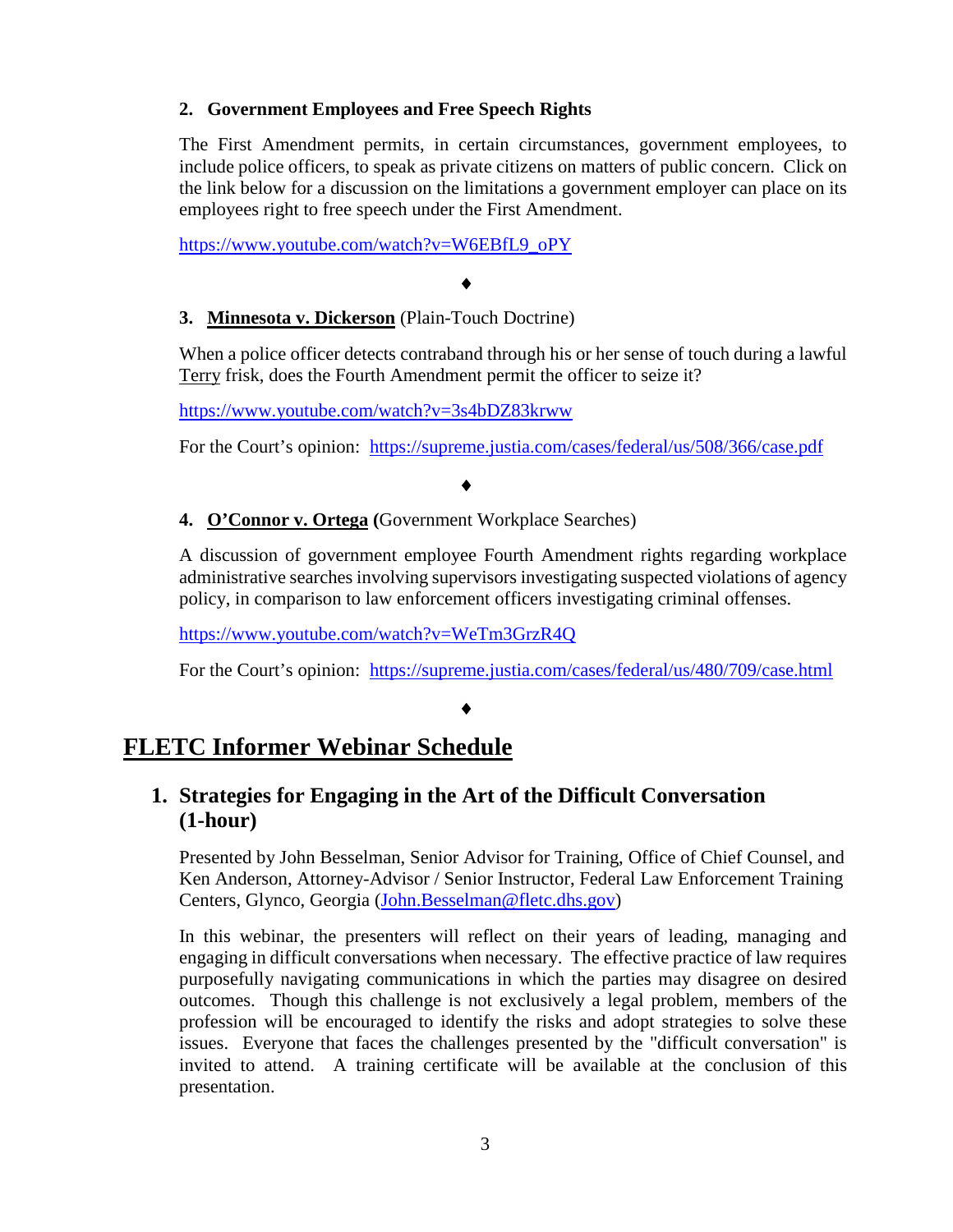#### **2. Government Employees and Free Speech Rights**

The First Amendment permits, in certain circumstances, government employees, to include police officers, to speak as private citizens on matters of public concern. Click on the link below for a discussion on the limitations a government employer can place on its employees right to free speech under the First Amendment.

[https://www.youtube.com/watch?v=W6EBfL9\\_oPY](https://www.youtube.com/watch?v=W6EBfL9_oPY)

#### ♦

#### **3. Minnesota v. Dickerson** (Plain-Touch Doctrine)

When a police officer detects contraband through his or her sense of touch during a lawful Terry frisk, does the Fourth Amendment permit the officer to seize it?

<https://www.youtube.com/watch?v=3s4bDZ83krww>

For the Court's opinion: <https://supreme.justia.com/cases/federal/us/508/366/case.pdf>

#### ♦

#### **4. O'Connor v. Ortega (**Government Workplace Searches)

A discussion of government employee Fourth Amendment rights regarding workplace administrative searches involving supervisors investigating suspected violations of agency policy, in comparison to law enforcement officers investigating criminal offenses.

<https://www.youtube.com/watch?v=WeTm3GrzR4Q>

For the Court's opinion: <https://supreme.justia.com/cases/federal/us/480/709/case.html>

#### ♦

### **FLETC Informer Webinar Schedule**

#### **1. Strategies for Engaging in the Art of the Difficult Conversation (1-hour)**

Presented by John Besselman, Senior Advisor for Training, Office of Chief Counsel, and Ken Anderson, Attorney-Advisor / Senior Instructor, Federal Law Enforcement Training Centers, Glynco, Georgia [\(John.Besselman@fletc.dhs.gov\)](mailto:John.Besselman@fletc.dhs.gov)

In this webinar, the presenters will reflect on their years of leading, managing and engaging in difficult conversations when necessary. The effective practice of law requires purposefully navigating communications in which the parties may disagree on desired outcomes. Though this challenge is not exclusively a legal problem, members of the profession will be encouraged to identify the risks and adopt strategies to solve these issues. Everyone that faces the challenges presented by the "difficult conversation" is invited to attend. A training certificate will be available at the conclusion of this presentation.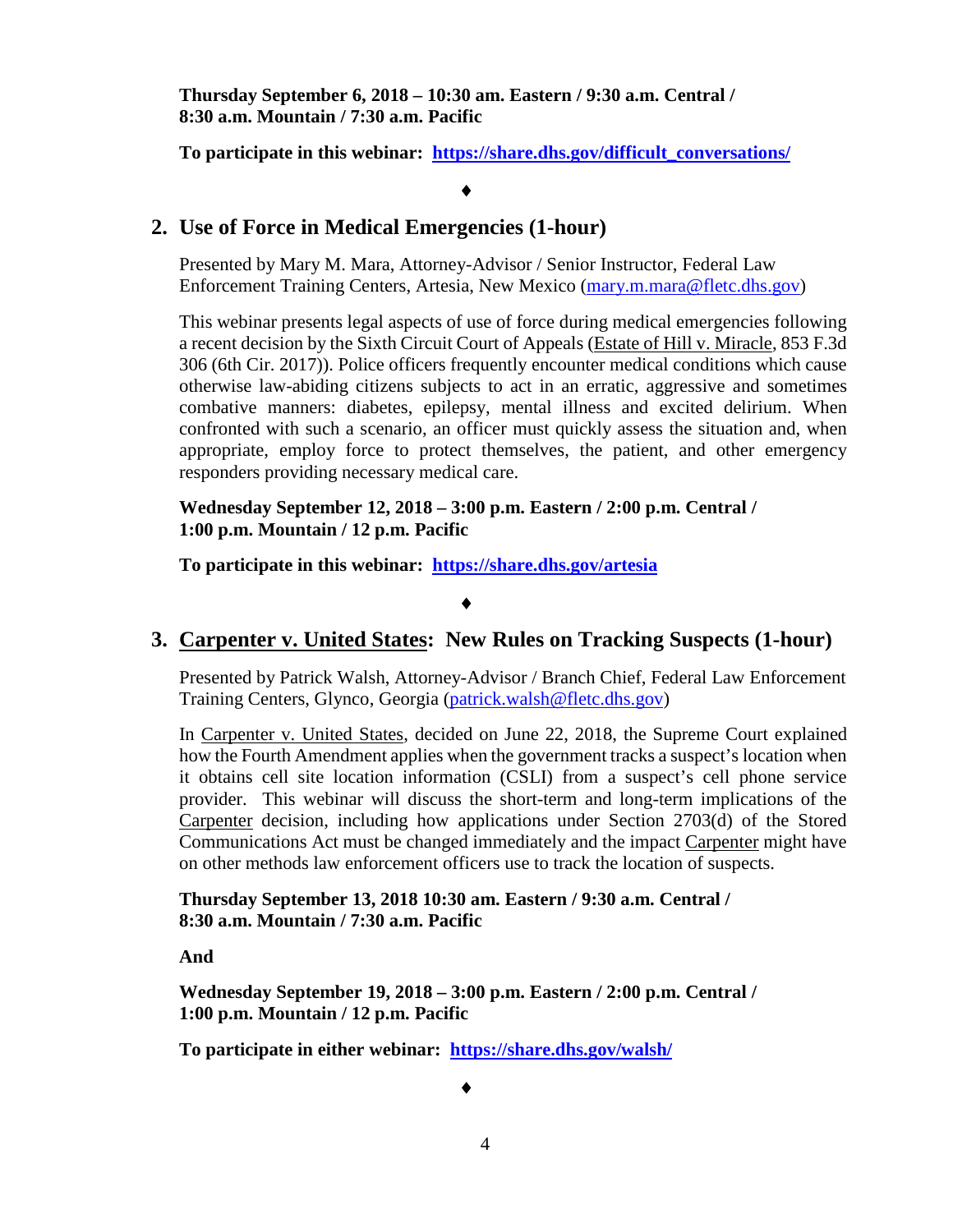**Thursday September 6, 2018 – 10:30 am. Eastern / 9:30 a.m. Central / 8:30 a.m. Mountain / 7:30 a.m. Pacific**

**To participate in this webinar: [https://share.dhs.gov/difficult\\_conversations/](https://share.dhs.gov/difficult_conversations/)**

#### ♦

#### **2. Use of Force in Medical Emergencies (1-hour)**

Presented by Mary M. Mara, Attorney-Advisor / Senior Instructor, Federal Law Enforcement Training Centers, Artesia, New Mexico [\(mary.m.mara@fletc.dhs.gov\)](mailto:mary.m.mara@fletc.dhs.gov)

This webinar presents legal aspects of use of force during medical emergencies following a recent decision by the Sixth Circuit Court of Appeals (Estate of Hill v. Miracle, 853 F.3d 306 (6th Cir. 2017)). Police officers frequently encounter medical conditions which cause otherwise law-abiding citizens subjects to act in an erratic, aggressive and sometimes combative manners: diabetes, epilepsy, mental illness and excited delirium. When confronted with such a scenario, an officer must quickly assess the situation and, when appropriate, employ force to protect themselves, the patient, and other emergency responders providing necessary medical care.

**Wednesday September 12, 2018 – 3:00 p.m. Eastern / 2:00 p.m. Central / 1:00 p.m. Mountain / 12 p.m. Pacific** 

**To participate in this webinar: <https://share.dhs.gov/artesia>**

#### ♦

#### **3. Carpenter v. United States: New Rules on Tracking Suspects (1-hour)**

Presented by Patrick Walsh, Attorney-Advisor / Branch Chief, Federal Law Enforcement Training Centers, Glynco, Georgia [\(patrick.walsh@fletc.dhs.gov\)](mailto:patrick.walsh@fletc.dhs.gov)

In Carpenter v. United States, decided on June 22, 2018, the Supreme Court explained how the Fourth Amendment applies when the government tracks a suspect's location when it obtains cell site location information (CSLI) from a suspect's cell phone service provider. This webinar will discuss the short-term and long-term implications of the Carpenter decision, including how applications under Section 2703(d) of the Stored Communications Act must be changed immediately and the impact Carpenter might have on other methods law enforcement officers use to track the location of suspects.

**Thursday September 13, 2018 10:30 am. Eastern / 9:30 a.m. Central / 8:30 a.m. Mountain / 7:30 a.m. Pacific**

**And** 

**Wednesday September 19, 2018 – 3:00 p.m. Eastern / 2:00 p.m. Central / 1:00 p.m. Mountain / 12 p.m. Pacific**

**To participate in either webinar: <https://share.dhs.gov/walsh/>**

♦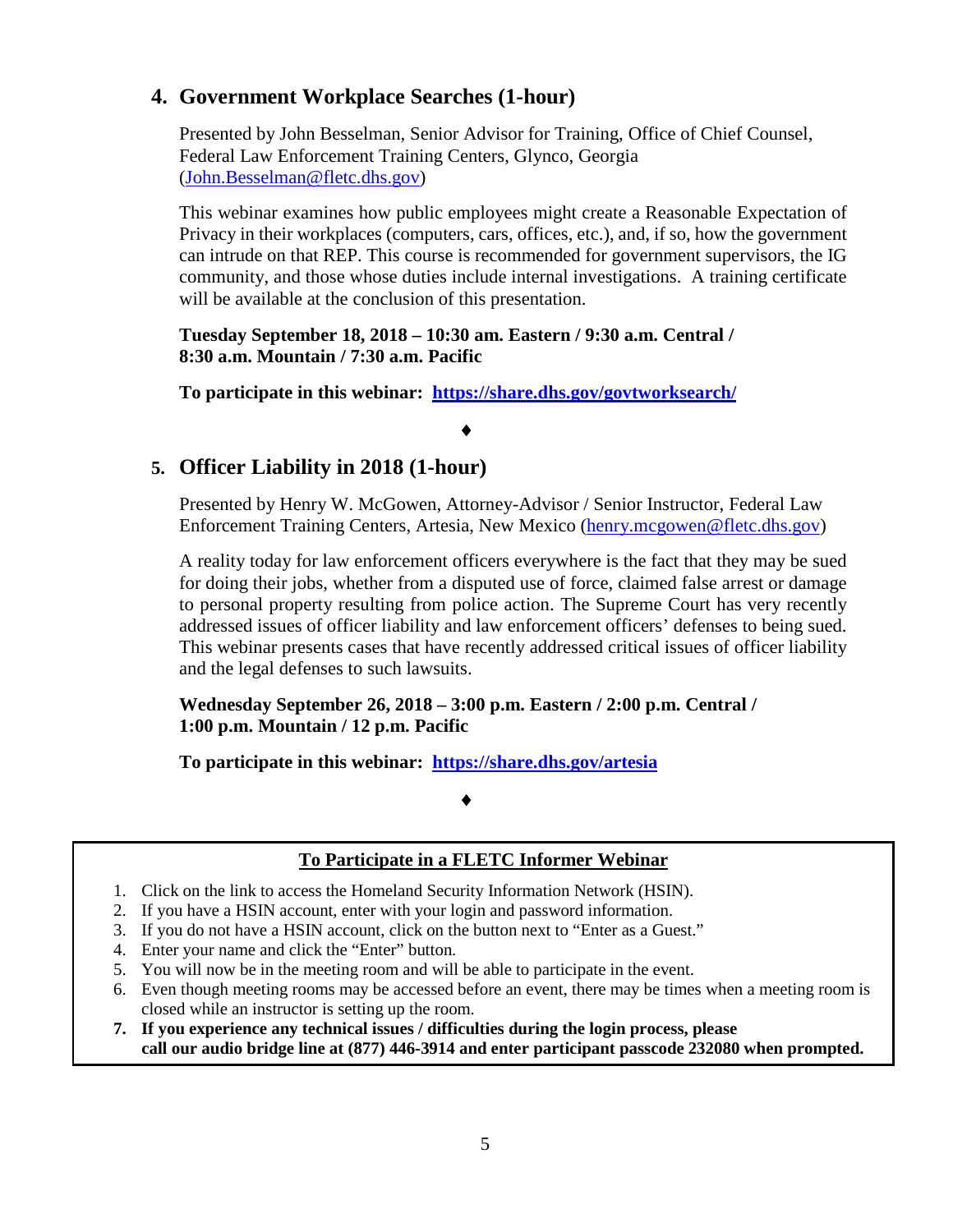#### **4. Government Workplace Searches (1-hour)**

Presented by John Besselman, Senior Advisor for Training, Office of Chief Counsel, Federal Law Enforcement Training Centers, Glynco, Georgia [\(John.Besselman@fletc.dhs.gov\)](mailto:John.Besselman@fletc.dhs.gov)

This webinar examines how public employees might create a Reasonable Expectation of Privacy in their workplaces (computers, cars, offices, etc.), and, if so, how the government can intrude on that REP. This course is recommended for government supervisors, the IG community, and those whose duties include internal investigations. A training certificate will be available at the conclusion of this presentation.

**Tuesday September 18, 2018 – 10:30 am. Eastern / 9:30 a.m. Central / 8:30 a.m. Mountain / 7:30 a.m. Pacific**

**To participate in this webinar: <https://share.dhs.gov/govtworksearch/>**

♦

#### **5. Officer Liability in 2018 (1-hour)**

Presented by Henry W. McGowen, Attorney-Advisor / Senior Instructor, Federal Law Enforcement Training Centers, Artesia, New Mexico [\(henry.mcgowen@fletc.dhs.gov\)](mailto:henry.mcgowen@fletc.dhs.gov)

A reality today for law enforcement officers everywhere is the fact that they may be sued for doing their jobs, whether from a disputed use of force, claimed false arrest or damage to personal property resulting from police action. The Supreme Court has very recently addressed issues of officer liability and law enforcement officers' defenses to being sued. This webinar presents cases that have recently addressed critical issues of officer liability and the legal defenses to such lawsuits.

**Wednesday September 26, 2018 – 3:00 p.m. Eastern / 2:00 p.m. Central / 1:00 p.m. Mountain / 12 p.m. Pacific** 

**To participate in this webinar: <https://share.dhs.gov/artesia>**

#### ♦

#### **To Participate in a FLETC Informer Webinar**

- 1. Click on the link to access the Homeland Security Information Network (HSIN).
- 2. If you have a HSIN account, enter with your login and password information.
- 3. If you do not have a HSIN account, click on the button next to "Enter as a Guest."
- 4. Enter your name and click the "Enter" button.
- 5. You will now be in the meeting room and will be able to participate in the event.
- 6. Even though meeting rooms may be accessed before an event, there may be times when a meeting room is closed while an instructor is setting up the room.
- **7. If you experience any technical issues / difficulties during the login process, please call our audio bridge line at (877) 446-3914 and enter participant passcode 232080 when prompted.**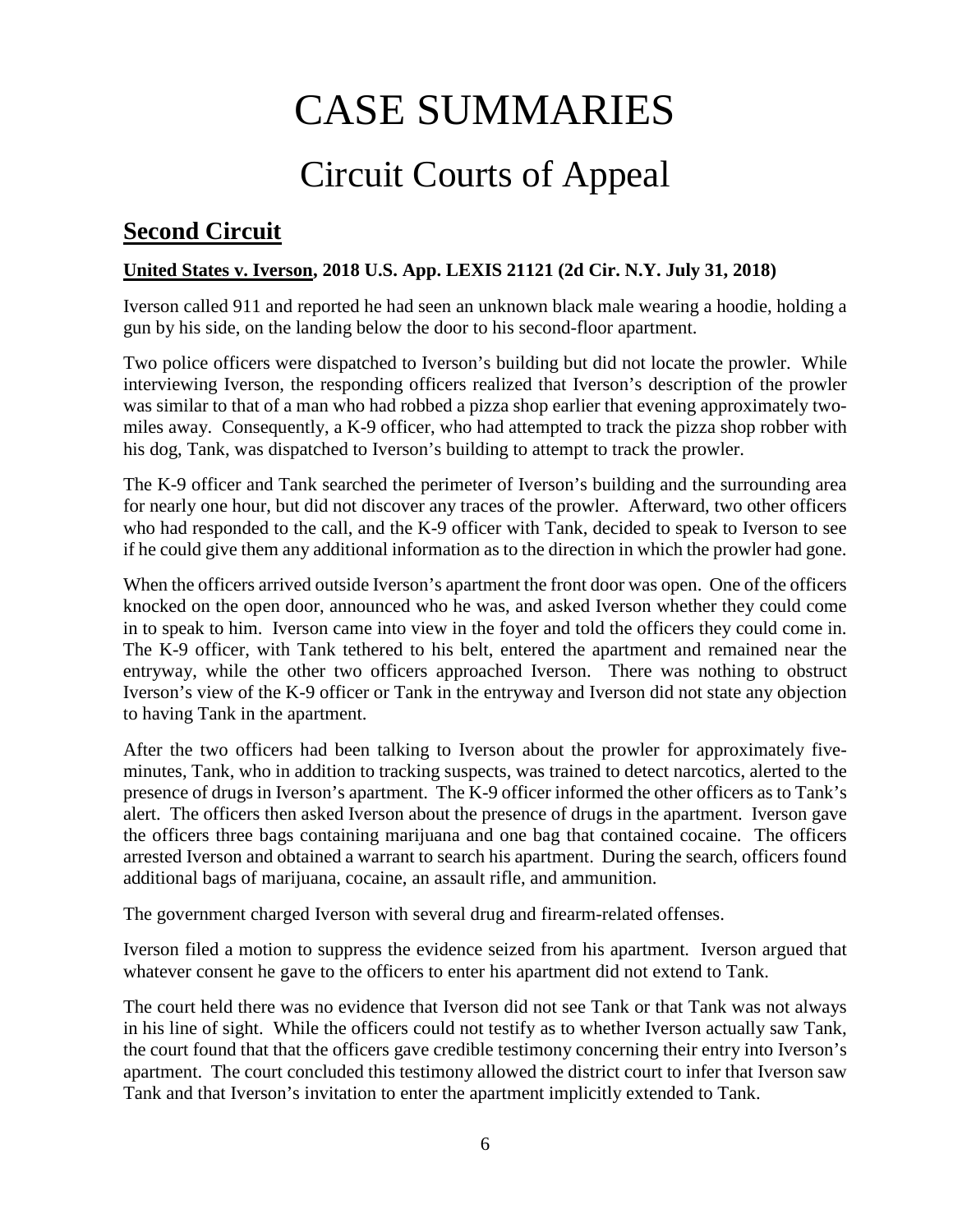# CASE SUMMARIES

# Circuit Courts of Appeal

# <span id="page-5-1"></span><span id="page-5-0"></span>**Second Circuit**

#### <span id="page-5-2"></span>**United States v. Iverson, 2018 U.S. App. LEXIS 21121 (2d Cir. N.Y. July 31, 2018)**

Iverson called 911 and reported he had seen an unknown black male wearing a hoodie, holding a gun by his side, on the landing below the door to his second-floor apartment.

Two police officers were dispatched to Iverson's building but did not locate the prowler. While interviewing Iverson, the responding officers realized that Iverson's description of the prowler was similar to that of a man who had robbed a pizza shop earlier that evening approximately twomiles away. Consequently, a K-9 officer, who had attempted to track the pizza shop robber with his dog, Tank, was dispatched to Iverson's building to attempt to track the prowler.

The K-9 officer and Tank searched the perimeter of Iverson's building and the surrounding area for nearly one hour, but did not discover any traces of the prowler. Afterward, two other officers who had responded to the call, and the K-9 officer with Tank, decided to speak to Iverson to see if he could give them any additional information as to the direction in which the prowler had gone.

When the officers arrived outside Iverson's apartment the front door was open. One of the officers knocked on the open door, announced who he was, and asked Iverson whether they could come in to speak to him. Iverson came into view in the foyer and told the officers they could come in. The K-9 officer, with Tank tethered to his belt, entered the apartment and remained near the entryway, while the other two officers approached Iverson. There was nothing to obstruct Iverson's view of the K-9 officer or Tank in the entryway and Iverson did not state any objection to having Tank in the apartment.

After the two officers had been talking to Iverson about the prowler for approximately fiveminutes, Tank, who in addition to tracking suspects, was trained to detect narcotics, alerted to the presence of drugs in Iverson's apartment. The K-9 officer informed the other officers as to Tank's alert. The officers then asked Iverson about the presence of drugs in the apartment. Iverson gave the officers three bags containing marijuana and one bag that contained cocaine. The officers arrested Iverson and obtained a warrant to search his apartment. During the search, officers found additional bags of marijuana, cocaine, an assault rifle, and ammunition.

The government charged Iverson with several drug and firearm-related offenses.

Iverson filed a motion to suppress the evidence seized from his apartment. Iverson argued that whatever consent he gave to the officers to enter his apartment did not extend to Tank.

The court held there was no evidence that Iverson did not see Tank or that Tank was not always in his line of sight. While the officers could not testify as to whether Iverson actually saw Tank, the court found that that the officers gave credible testimony concerning their entry into Iverson's apartment. The court concluded this testimony allowed the district court to infer that Iverson saw Tank and that Iverson's invitation to enter the apartment implicitly extended to Tank.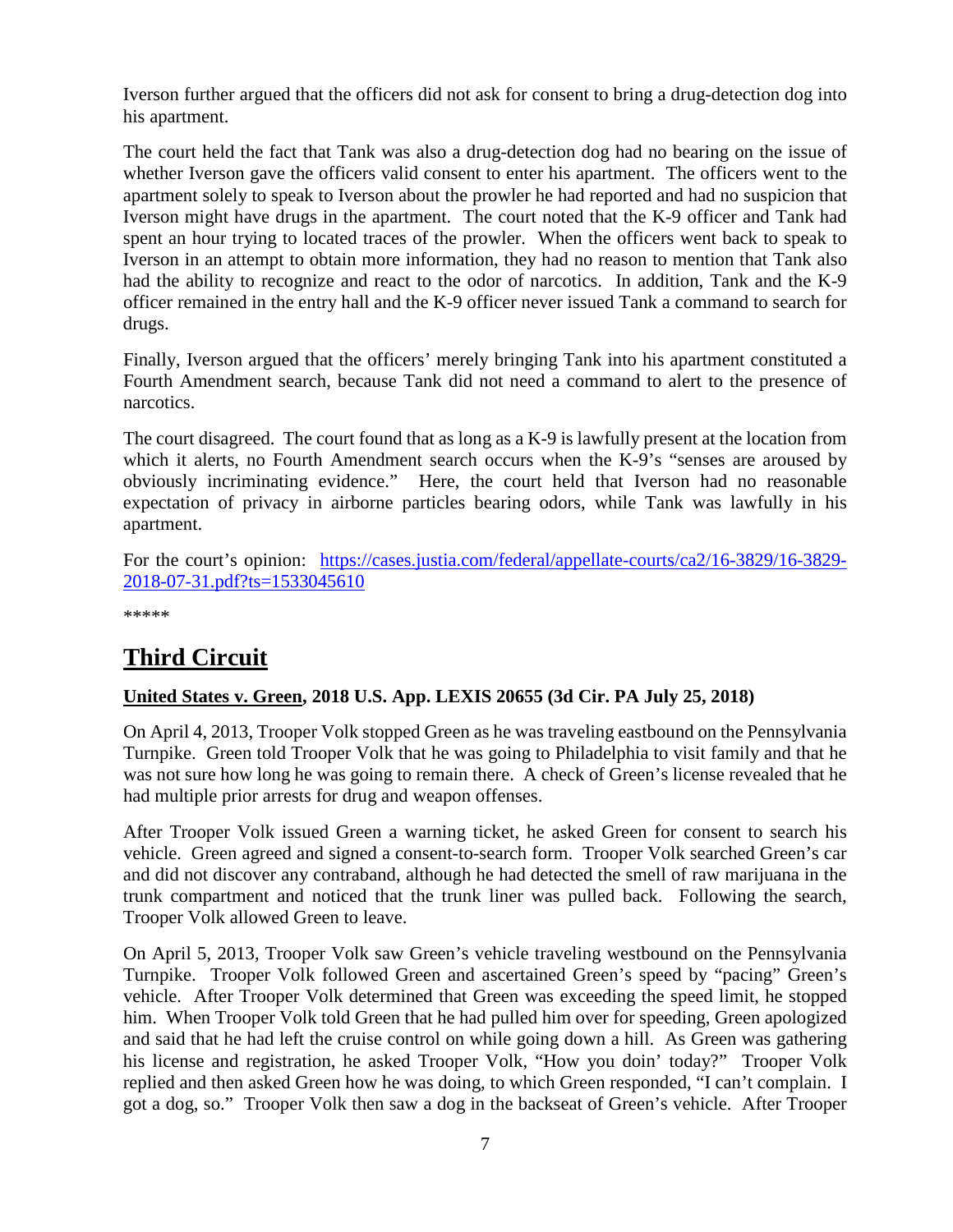Iverson further argued that the officers did not ask for consent to bring a drug-detection dog into his apartment.

The court held the fact that Tank was also a drug-detection dog had no bearing on the issue of whether Iverson gave the officers valid consent to enter his apartment. The officers went to the apartment solely to speak to Iverson about the prowler he had reported and had no suspicion that Iverson might have drugs in the apartment. The court noted that the K-9 officer and Tank had spent an hour trying to located traces of the prowler. When the officers went back to speak to Iverson in an attempt to obtain more information, they had no reason to mention that Tank also had the ability to recognize and react to the odor of narcotics. In addition, Tank and the K-9 officer remained in the entry hall and the K-9 officer never issued Tank a command to search for drugs.

Finally, Iverson argued that the officers' merely bringing Tank into his apartment constituted a Fourth Amendment search, because Tank did not need a command to alert to the presence of narcotics.

The court disagreed. The court found that as long as a K-9 is lawfully present at the location from which it alerts, no Fourth Amendment search occurs when the K-9's "senses are aroused by obviously incriminating evidence." Here, the court held that Iverson had no reasonable expectation of privacy in airborne particles bearing odors, while Tank was lawfully in his apartment.

For the court's opinion: [https://cases.justia.com/federal/appellate-courts/ca2/16-3829/16-3829-](https://cases.justia.com/federal/appellate-courts/ca2/16-3829/16-3829-2018-07-31.pdf?ts=1533045610) [2018-07-31.pdf?ts=1533045610](https://cases.justia.com/federal/appellate-courts/ca2/16-3829/16-3829-2018-07-31.pdf?ts=1533045610)

\*\*\*\*\*

# <span id="page-6-0"></span>**Third Circuit**

#### <span id="page-6-1"></span>**United States v. Green, 2018 U.S. App. LEXIS 20655 (3d Cir. PA July 25, 2018)**

On April 4, 2013, Trooper Volk stopped Green as he was traveling eastbound on the Pennsylvania Turnpike. Green told Trooper Volk that he was going to Philadelphia to visit family and that he was not sure how long he was going to remain there. A check of Green's license revealed that he had multiple prior arrests for drug and weapon offenses.

After Trooper Volk issued Green a warning ticket, he asked Green for consent to search his vehicle. Green agreed and signed a consent-to-search form. Trooper Volk searched Green's car and did not discover any contraband, although he had detected the smell of raw marijuana in the trunk compartment and noticed that the trunk liner was pulled back. Following the search, Trooper Volk allowed Green to leave.

On April 5, 2013, Trooper Volk saw Green's vehicle traveling westbound on the Pennsylvania Turnpike. Trooper Volk followed Green and ascertained Green's speed by "pacing" Green's vehicle. After Trooper Volk determined that Green was exceeding the speed limit, he stopped him. When Trooper Volk told Green that he had pulled him over for speeding, Green apologized and said that he had left the cruise control on while going down a hill. As Green was gathering his license and registration, he asked Trooper Volk, "How you doin' today?" Trooper Volk replied and then asked Green how he was doing, to which Green responded, "I can't complain. I got a dog, so." Trooper Volk then saw a dog in the backseat of Green's vehicle. After Trooper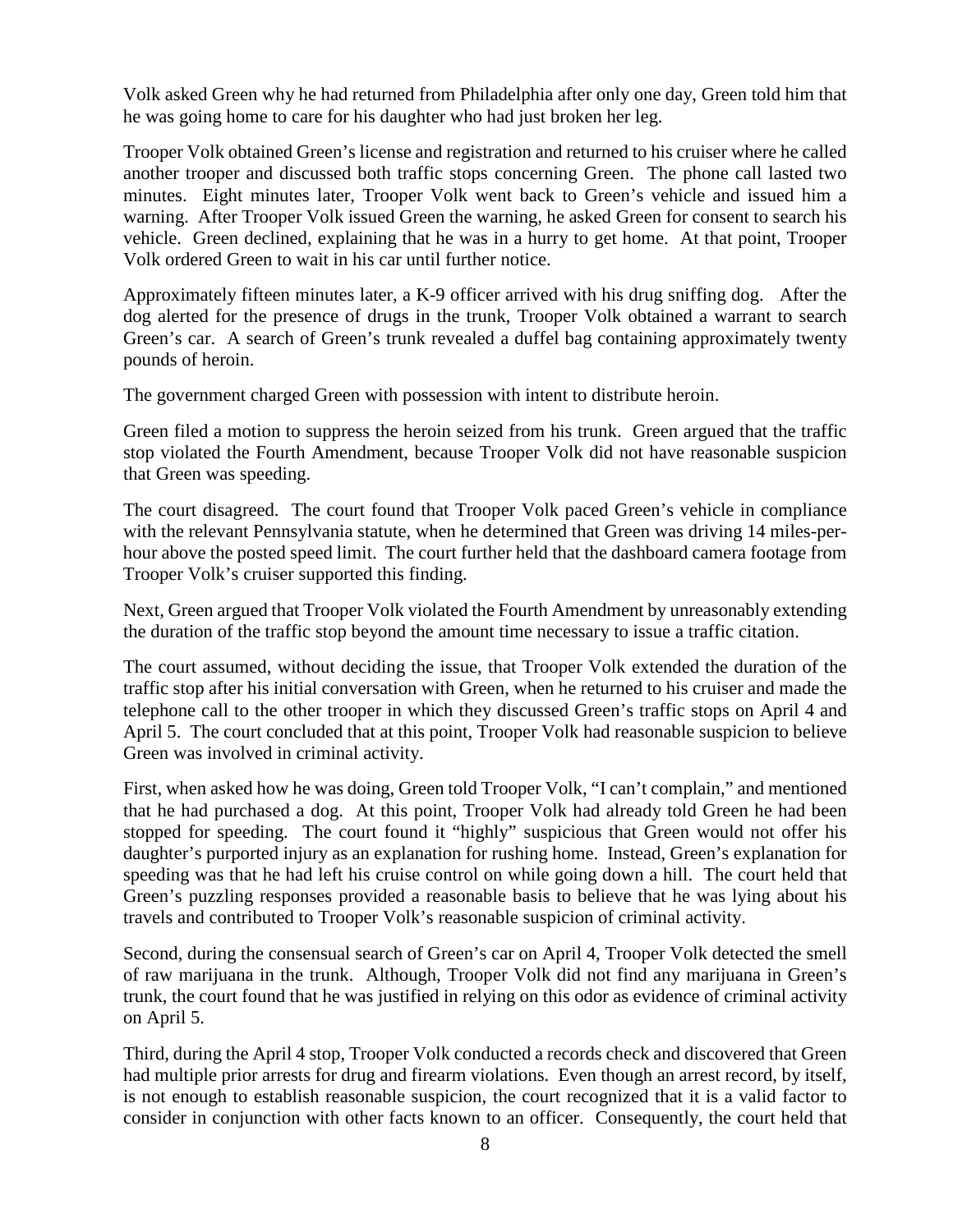Volk asked Green why he had returned from Philadelphia after only one day, Green told him that he was going home to care for his daughter who had just broken her leg.

Trooper Volk obtained Green's license and registration and returned to his cruiser where he called another trooper and discussed both traffic stops concerning Green. The phone call lasted two minutes. Eight minutes later, Trooper Volk went back to Green's vehicle and issued him a warning. After Trooper Volk issued Green the warning, he asked Green for consent to search his vehicle. Green declined, explaining that he was in a hurry to get home. At that point, Trooper Volk ordered Green to wait in his car until further notice.

Approximately fifteen minutes later, a K-9 officer arrived with his drug sniffing dog. After the dog alerted for the presence of drugs in the trunk, Trooper Volk obtained a warrant to search Green's car. A search of Green's trunk revealed a duffel bag containing approximately twenty pounds of heroin.

The government charged Green with possession with intent to distribute heroin.

Green filed a motion to suppress the heroin seized from his trunk. Green argued that the traffic stop violated the Fourth Amendment, because Trooper Volk did not have reasonable suspicion that Green was speeding.

The court disagreed. The court found that Trooper Volk paced Green's vehicle in compliance with the relevant Pennsylvania statute, when he determined that Green was driving 14 miles-perhour above the posted speed limit. The court further held that the dashboard camera footage from Trooper Volk's cruiser supported this finding.

Next, Green argued that Trooper Volk violated the Fourth Amendment by unreasonably extending the duration of the traffic stop beyond the amount time necessary to issue a traffic citation.

The court assumed, without deciding the issue, that Trooper Volk extended the duration of the traffic stop after his initial conversation with Green, when he returned to his cruiser and made the telephone call to the other trooper in which they discussed Green's traffic stops on April 4 and April 5. The court concluded that at this point, Trooper Volk had reasonable suspicion to believe Green was involved in criminal activity.

First, when asked how he was doing, Green told Trooper Volk, "I can't complain," and mentioned that he had purchased a dog. At this point, Trooper Volk had already told Green he had been stopped for speeding. The court found it "highly" suspicious that Green would not offer his daughter's purported injury as an explanation for rushing home. Instead, Green's explanation for speeding was that he had left his cruise control on while going down a hill. The court held that Green's puzzling responses provided a reasonable basis to believe that he was lying about his travels and contributed to Trooper Volk's reasonable suspicion of criminal activity.

Second, during the consensual search of Green's car on April 4, Trooper Volk detected the smell of raw marijuana in the trunk. Although, Trooper Volk did not find any marijuana in Green's trunk, the court found that he was justified in relying on this odor as evidence of criminal activity on April 5.

Third, during the April 4 stop, Trooper Volk conducted a records check and discovered that Green had multiple prior arrests for drug and firearm violations. Even though an arrest record, by itself, is not enough to establish reasonable suspicion, the court recognized that it is a valid factor to consider in conjunction with other facts known to an officer. Consequently, the court held that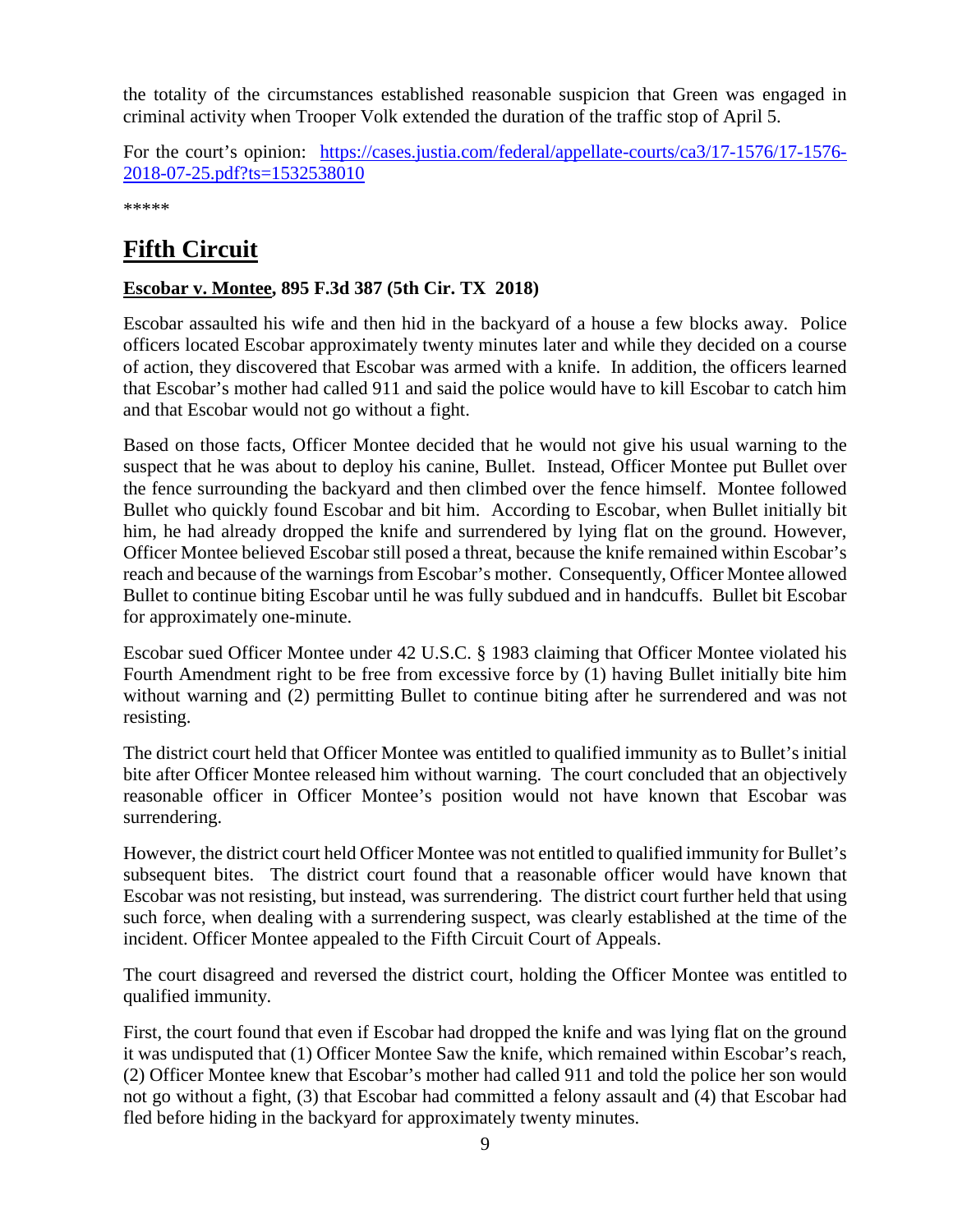the totality of the circumstances established reasonable suspicion that Green was engaged in criminal activity when Trooper Volk extended the duration of the traffic stop of April 5.

For the court's opinion: [https://cases.justia.com/federal/appellate-courts/ca3/17-1576/17-1576-](https://cases.justia.com/federal/appellate-courts/ca3/17-1576/17-1576-2018-07-25.pdf?ts=1532538010) [2018-07-25.pdf?ts=1532538010](https://cases.justia.com/federal/appellate-courts/ca3/17-1576/17-1576-2018-07-25.pdf?ts=1532538010)

\*\*\*\*\*

# <span id="page-8-0"></span>**Fifth Circuit**

#### <span id="page-8-1"></span>**Escobar v. Montee, 895 F.3d 387 (5th Cir. TX 2018)**

Escobar assaulted his wife and then hid in the backyard of a house a few blocks away. Police officers located Escobar approximately twenty minutes later and while they decided on a course of action, they discovered that Escobar was armed with a knife. In addition, the officers learned that Escobar's mother had called 911 and said the police would have to kill Escobar to catch him and that Escobar would not go without a fight.

Based on those facts, Officer Montee decided that he would not give his usual warning to the suspect that he was about to deploy his canine, Bullet. Instead, Officer Montee put Bullet over the fence surrounding the backyard and then climbed over the fence himself. Montee followed Bullet who quickly found Escobar and bit him. According to Escobar, when Bullet initially bit him, he had already dropped the knife and surrendered by lying flat on the ground. However, Officer Montee believed Escobar still posed a threat, because the knife remained within Escobar's reach and because of the warnings from Escobar's mother. Consequently, Officer Montee allowed Bullet to continue biting Escobar until he was fully subdued and in handcuffs. Bullet bit Escobar for approximately one-minute.

Escobar sued Officer Montee under 42 U.S.C. § 1983 claiming that Officer Montee violated his Fourth Amendment right to be free from excessive force by (1) having Bullet initially bite him without warning and (2) permitting Bullet to continue biting after he surrendered and was not resisting.

The district court held that Officer Montee was entitled to qualified immunity as to Bullet's initial bite after Officer Montee released him without warning. The court concluded that an objectively reasonable officer in Officer Montee's position would not have known that Escobar was surrendering.

However, the district court held Officer Montee was not entitled to qualified immunity for Bullet's subsequent bites. The district court found that a reasonable officer would have known that Escobar was not resisting, but instead, was surrendering. The district court further held that using such force, when dealing with a surrendering suspect, was clearly established at the time of the incident. Officer Montee appealed to the Fifth Circuit Court of Appeals.

The court disagreed and reversed the district court, holding the Officer Montee was entitled to qualified immunity.

First, the court found that even if Escobar had dropped the knife and was lying flat on the ground it was undisputed that (1) Officer Montee Saw the knife, which remained within Escobar's reach, (2) Officer Montee knew that Escobar's mother had called 911 and told the police her son would not go without a fight, (3) that Escobar had committed a felony assault and (4) that Escobar had fled before hiding in the backyard for approximately twenty minutes.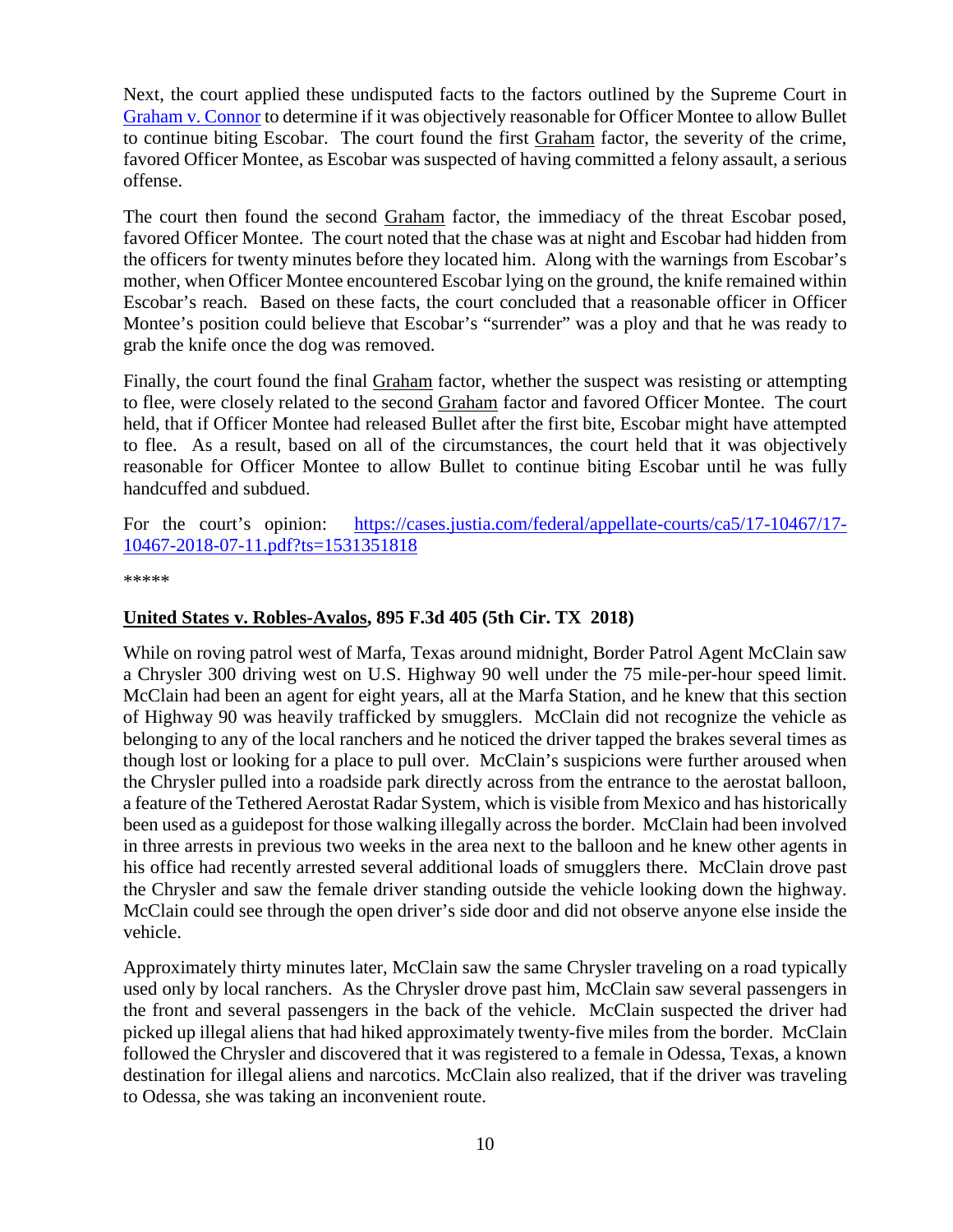Next, the court applied these undisputed facts to the factors outlined by the Supreme Court in [Graham v. Connor](https://supreme.justia.com/cases/federal/us/490/386/) to determine if it was objectively reasonable for Officer Montee to allow Bullet to continue biting Escobar. The court found the first Graham factor, the severity of the crime, favored Officer Montee, as Escobar was suspected of having committed a felony assault, a serious offense.

The court then found the second Graham factor, the immediacy of the threat Escobar posed, favored Officer Montee. The court noted that the chase was at night and Escobar had hidden from the officers for twenty minutes before they located him. Along with the warnings from Escobar's mother, when Officer Montee encountered Escobar lying on the ground, the knife remained within Escobar's reach. Based on these facts, the court concluded that a reasonable officer in Officer Montee's position could believe that Escobar's "surrender" was a ploy and that he was ready to grab the knife once the dog was removed.

Finally, the court found the final Graham factor, whether the suspect was resisting or attempting to flee, were closely related to the second Graham factor and favored Officer Montee. The court held, that if Officer Montee had released Bullet after the first bite, Escobar might have attempted to flee. As a result, based on all of the circumstances, the court held that it was objectively reasonable for Officer Montee to allow Bullet to continue biting Escobar until he was fully handcuffed and subdued.

For the court's opinion: [https://cases.justia.com/federal/appellate-courts/ca5/17-10467/17-](https://cases.justia.com/federal/appellate-courts/ca5/17-10467/17-10467-2018-07-11.pdf?ts=1531351818) [10467-2018-07-11.pdf?ts=1531351818](https://cases.justia.com/federal/appellate-courts/ca5/17-10467/17-10467-2018-07-11.pdf?ts=1531351818)

\*\*\*\*\*

#### <span id="page-9-0"></span>**United States v. Robles-Avalos, 895 F.3d 405 (5th Cir. TX 2018)**

While on roving patrol west of Marfa, Texas around midnight, Border Patrol Agent McClain saw a Chrysler 300 driving west on U.S. Highway 90 well under the 75 mile-per-hour speed limit. McClain had been an agent for eight years, all at the Marfa Station, and he knew that this section of Highway 90 was heavily trafficked by smugglers. McClain did not recognize the vehicle as belonging to any of the local ranchers and he noticed the driver tapped the brakes several times as though lost or looking for a place to pull over. McClain's suspicions were further aroused when the Chrysler pulled into a roadside park directly across from the entrance to the aerostat balloon, a feature of the Tethered Aerostat Radar System, which is visible from Mexico and has historically been used as a guidepost for those walking illegally across the border. McClain had been involved in three arrests in previous two weeks in the area next to the balloon and he knew other agents in his office had recently arrested several additional loads of smugglers there. McClain drove past the Chrysler and saw the female driver standing outside the vehicle looking down the highway. McClain could see through the open driver's side door and did not observe anyone else inside the vehicle.

Approximately thirty minutes later, McClain saw the same Chrysler traveling on a road typically used only by local ranchers. As the Chrysler drove past him, McClain saw several passengers in the front and several passengers in the back of the vehicle. McClain suspected the driver had picked up illegal aliens that had hiked approximately twenty-five miles from the border. McClain followed the Chrysler and discovered that it was registered to a female in Odessa, Texas, a known destination for illegal aliens and narcotics. McClain also realized, that if the driver was traveling to Odessa, she was taking an inconvenient route.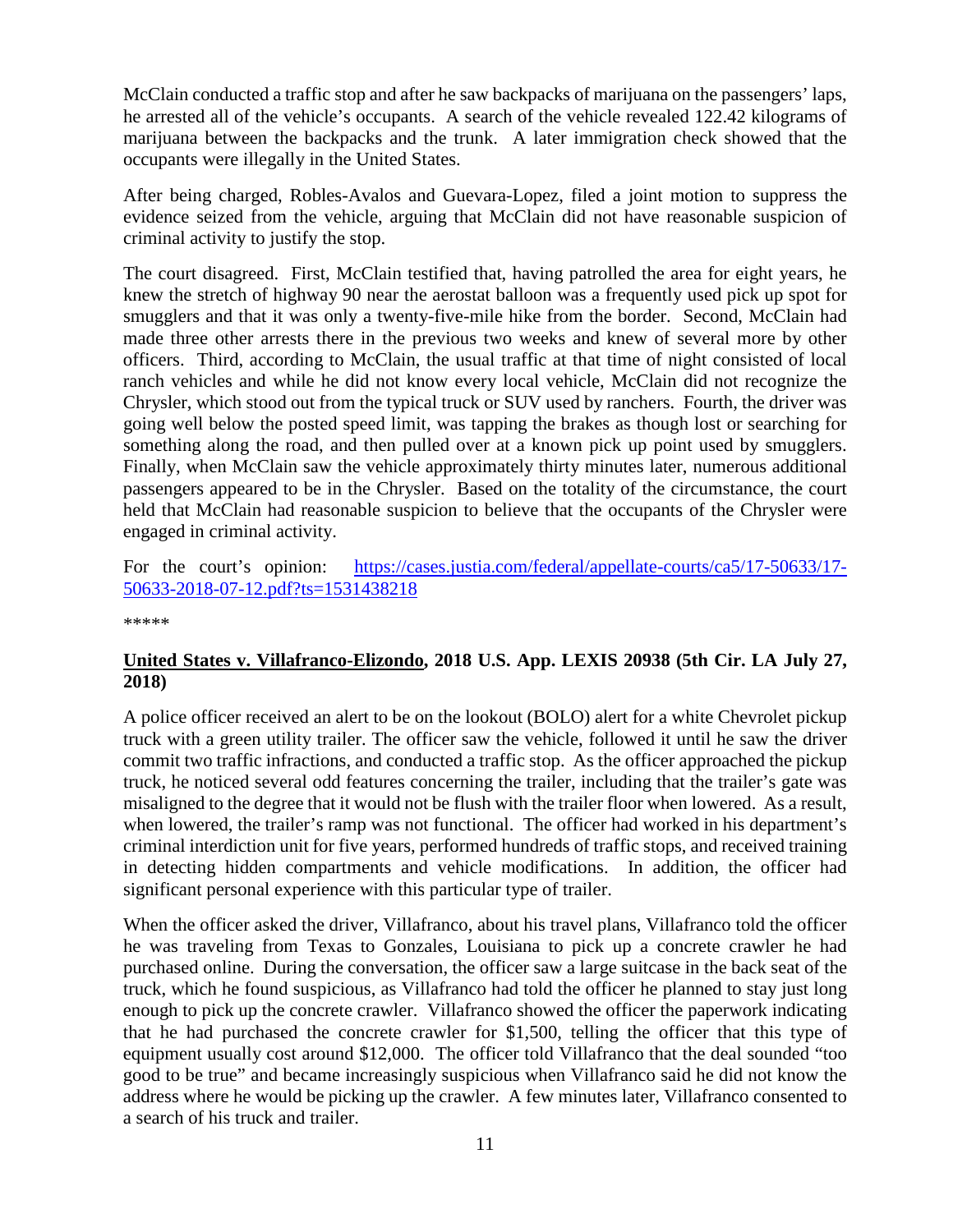McClain conducted a traffic stop and after he saw backpacks of marijuana on the passengers' laps, he arrested all of the vehicle's occupants. A search of the vehicle revealed 122.42 kilograms of marijuana between the backpacks and the trunk. A later immigration check showed that the occupants were illegally in the United States.

After being charged, Robles-Avalos and Guevara-Lopez, filed a joint motion to suppress the evidence seized from the vehicle, arguing that McClain did not have reasonable suspicion of criminal activity to justify the stop.

The court disagreed. First, McClain testified that, having patrolled the area for eight years, he knew the stretch of highway 90 near the aerostat balloon was a frequently used pick up spot for smugglers and that it was only a twenty-five-mile hike from the border. Second, McClain had made three other arrests there in the previous two weeks and knew of several more by other officers. Third, according to McClain, the usual traffic at that time of night consisted of local ranch vehicles and while he did not know every local vehicle, McClain did not recognize the Chrysler, which stood out from the typical truck or SUV used by ranchers. Fourth, the driver was going well below the posted speed limit, was tapping the brakes as though lost or searching for something along the road, and then pulled over at a known pick up point used by smugglers. Finally, when McClain saw the vehicle approximately thirty minutes later, numerous additional passengers appeared to be in the Chrysler. Based on the totality of the circumstance, the court held that McClain had reasonable suspicion to believe that the occupants of the Chrysler were engaged in criminal activity.

For the court's opinion: [https://cases.justia.com/federal/appellate-courts/ca5/17-50633/17-](https://cases.justia.com/federal/appellate-courts/ca5/17-50633/17-50633-2018-07-12.pdf?ts=1531438218) [50633-2018-07-12.pdf?ts=1531438218](https://cases.justia.com/federal/appellate-courts/ca5/17-50633/17-50633-2018-07-12.pdf?ts=1531438218)

\*\*\*\*\*

#### <span id="page-10-0"></span>**United States v. Villafranco-Elizondo, 2018 U.S. App. LEXIS 20938 (5th Cir. LA July 27, 2018)**

A police officer received an alert to be on the lookout (BOLO) alert for a white Chevrolet pickup truck with a green utility trailer. The officer saw the vehicle, followed it until he saw the driver commit two traffic infractions, and conducted a traffic stop. As the officer approached the pickup truck, he noticed several odd features concerning the trailer, including that the trailer's gate was misaligned to the degree that it would not be flush with the trailer floor when lowered. As a result, when lowered, the trailer's ramp was not functional. The officer had worked in his department's criminal interdiction unit for five years, performed hundreds of traffic stops, and received training in detecting hidden compartments and vehicle modifications. In addition, the officer had significant personal experience with this particular type of trailer.

When the officer asked the driver, Villafranco, about his travel plans, Villafranco told the officer he was traveling from Texas to Gonzales, Louisiana to pick up a concrete crawler he had purchased online. During the conversation, the officer saw a large suitcase in the back seat of the truck, which he found suspicious, as Villafranco had told the officer he planned to stay just long enough to pick up the concrete crawler. Villafranco showed the officer the paperwork indicating that he had purchased the concrete crawler for \$1,500, telling the officer that this type of equipment usually cost around \$12,000. The officer told Villafranco that the deal sounded "too good to be true" and became increasingly suspicious when Villafranco said he did not know the address where he would be picking up the crawler. A few minutes later, Villafranco consented to a search of his truck and trailer.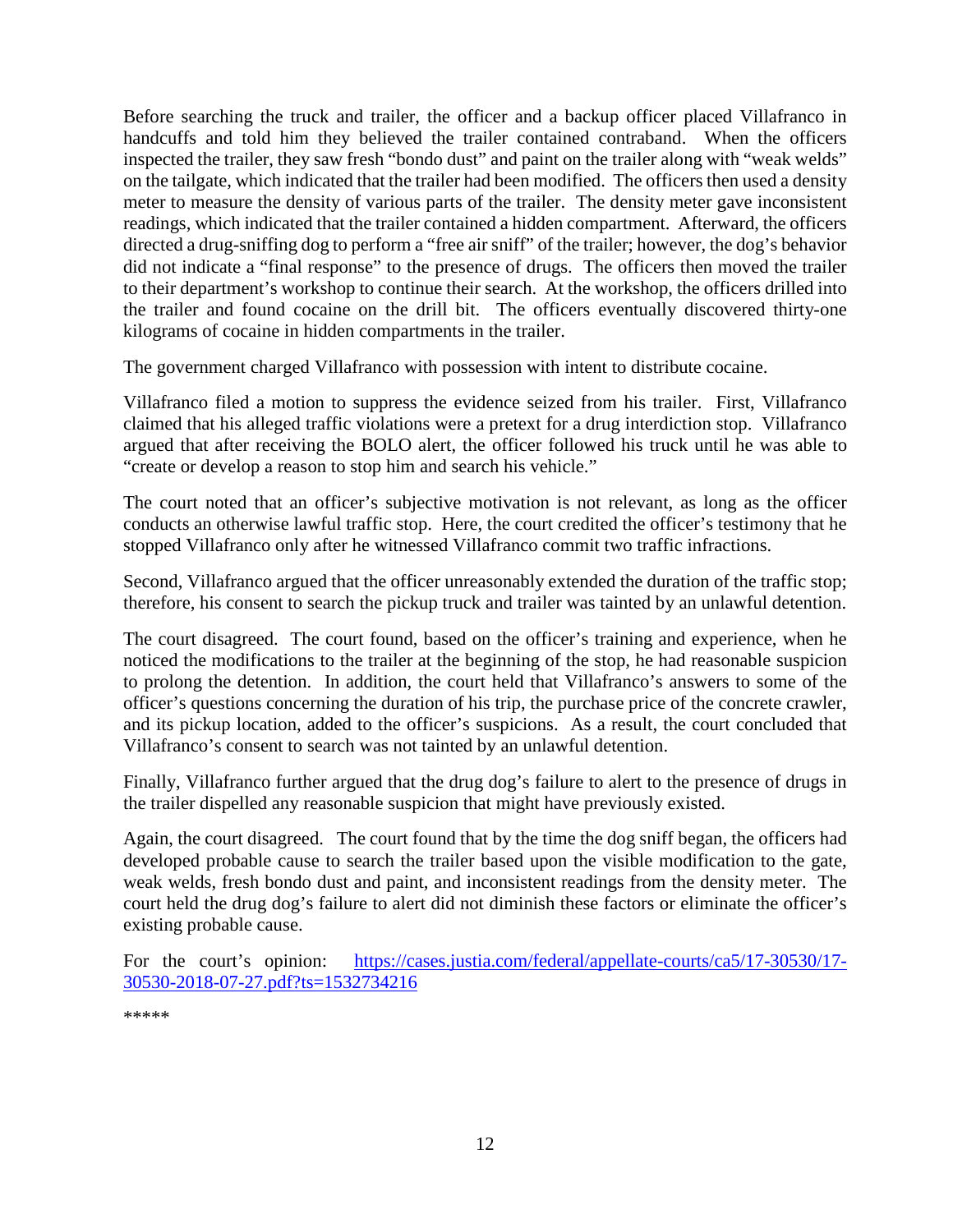Before searching the truck and trailer, the officer and a backup officer placed Villafranco in handcuffs and told him they believed the trailer contained contraband. When the officers inspected the trailer, they saw fresh "bondo dust" and paint on the trailer along with "weak welds" on the tailgate, which indicated that the trailer had been modified. The officers then used a density meter to measure the density of various parts of the trailer. The density meter gave inconsistent readings, which indicated that the trailer contained a hidden compartment. Afterward, the officers directed a drug-sniffing dog to perform a "free air sniff" of the trailer; however, the dog's behavior did not indicate a "final response" to the presence of drugs. The officers then moved the trailer to their department's workshop to continue their search. At the workshop, the officers drilled into the trailer and found cocaine on the drill bit. The officers eventually discovered thirty-one kilograms of cocaine in hidden compartments in the trailer.

The government charged Villafranco with possession with intent to distribute cocaine.

Villafranco filed a motion to suppress the evidence seized from his trailer. First, Villafranco claimed that his alleged traffic violations were a pretext for a drug interdiction stop. Villafranco argued that after receiving the BOLO alert, the officer followed his truck until he was able to "create or develop a reason to stop him and search his vehicle."

The court noted that an officer's subjective motivation is not relevant, as long as the officer conducts an otherwise lawful traffic stop. Here, the court credited the officer's testimony that he stopped Villafranco only after he witnessed Villafranco commit two traffic infractions.

Second, Villafranco argued that the officer unreasonably extended the duration of the traffic stop; therefore, his consent to search the pickup truck and trailer was tainted by an unlawful detention.

The court disagreed. The court found, based on the officer's training and experience, when he noticed the modifications to the trailer at the beginning of the stop, he had reasonable suspicion to prolong the detention. In addition, the court held that Villafranco's answers to some of the officer's questions concerning the duration of his trip, the purchase price of the concrete crawler, and its pickup location, added to the officer's suspicions. As a result, the court concluded that Villafranco's consent to search was not tainted by an unlawful detention.

Finally, Villafranco further argued that the drug dog's failure to alert to the presence of drugs in the trailer dispelled any reasonable suspicion that might have previously existed.

Again, the court disagreed. The court found that by the time the dog sniff began, the officers had developed probable cause to search the trailer based upon the visible modification to the gate, weak welds, fresh bondo dust and paint, and inconsistent readings from the density meter. The court held the drug dog's failure to alert did not diminish these factors or eliminate the officer's existing probable cause.

For the court's opinion: [https://cases.justia.com/federal/appellate-courts/ca5/17-30530/17-](https://cases.justia.com/federal/appellate-courts/ca5/17-30530/17-30530-2018-07-27.pdf?ts=1532734216) [30530-2018-07-27.pdf?ts=1532734216](https://cases.justia.com/federal/appellate-courts/ca5/17-30530/17-30530-2018-07-27.pdf?ts=1532734216)

\*\*\*\*\*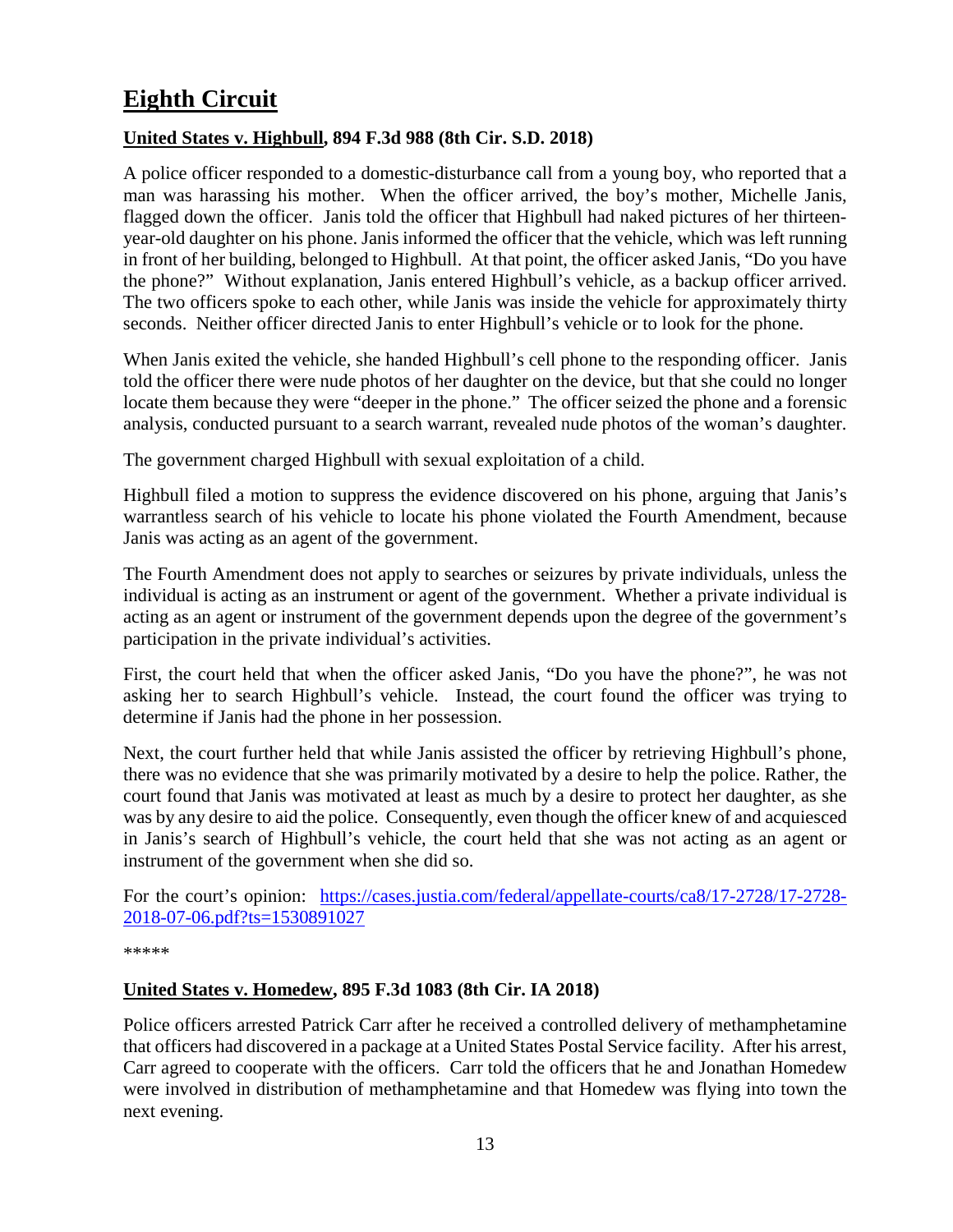# <span id="page-12-0"></span>**Eighth Circuit**

#### <span id="page-12-1"></span>**United States v. Highbull, 894 F.3d 988 (8th Cir. S.D. 2018)**

A police officer responded to a domestic-disturbance call from a young boy, who reported that a man was harassing his mother. When the officer arrived, the boy's mother, Michelle Janis, flagged down the officer. Janis told the officer that Highbull had naked pictures of her thirteenyear-old daughter on his phone. Janis informed the officer that the vehicle, which was left running in front of her building, belonged to Highbull. At that point, the officer asked Janis, "Do you have the phone?" Without explanation, Janis entered Highbull's vehicle, as a backup officer arrived. The two officers spoke to each other, while Janis was inside the vehicle for approximately thirty seconds. Neither officer directed Janis to enter Highbull's vehicle or to look for the phone.

When Janis exited the vehicle, she handed Highbull's cell phone to the responding officer. Janis told the officer there were nude photos of her daughter on the device, but that she could no longer locate them because they were "deeper in the phone." The officer seized the phone and a forensic analysis, conducted pursuant to a search warrant, revealed nude photos of the woman's daughter.

The government charged Highbull with sexual exploitation of a child.

Highbull filed a motion to suppress the evidence discovered on his phone, arguing that Janis's warrantless search of his vehicle to locate his phone violated the Fourth Amendment, because Janis was acting as an agent of the government.

The Fourth Amendment does not apply to searches or seizures by private individuals, unless the individual is acting as an instrument or agent of the government. Whether a private individual is acting as an agent or instrument of the government depends upon the degree of the government's participation in the private individual's activities.

First, the court held that when the officer asked Janis, "Do you have the phone?", he was not asking her to search Highbull's vehicle. Instead, the court found the officer was trying to determine if Janis had the phone in her possession.

Next, the court further held that while Janis assisted the officer by retrieving Highbull's phone, there was no evidence that she was primarily motivated by a desire to help the police. Rather, the court found that Janis was motivated at least as much by a desire to protect her daughter, as she was by any desire to aid the police. Consequently, even though the officer knew of and acquiesced in Janis's search of Highbull's vehicle, the court held that she was not acting as an agent or instrument of the government when she did so.

For the court's opinion: [https://cases.justia.com/federal/appellate-courts/ca8/17-2728/17-2728-](https://cases.justia.com/federal/appellate-courts/ca8/17-2728/17-2728-2018-07-06.pdf?ts=1530891027) [2018-07-06.pdf?ts=1530891027](https://cases.justia.com/federal/appellate-courts/ca8/17-2728/17-2728-2018-07-06.pdf?ts=1530891027)

\*\*\*\*\*

#### <span id="page-12-2"></span>**United States v. Homedew, 895 F.3d 1083 (8th Cir. IA 2018)**

Police officers arrested Patrick Carr after he received a controlled delivery of methamphetamine that officers had discovered in a package at a United States Postal Service facility. After his arrest, Carr agreed to cooperate with the officers. Carr told the officers that he and Jonathan Homedew were involved in distribution of methamphetamine and that Homedew was flying into town the next evening.